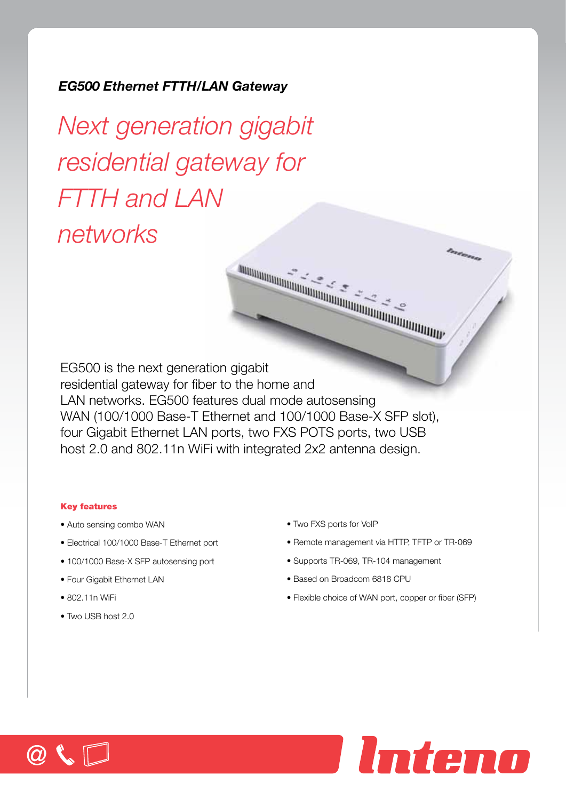# *EG500 Ethernet FTTH/LAN Gateway*

*Next generation gigabit residential gateway for FTTH and LAN networks*

EG500 is the next generation gigabit residential gateway for fiber to the home and LAN networks. EG500 features dual mode autosensing WAN (100/1000 Base-T Ethernet and 100/1000 Base-X SFP slot), four Gigabit Ethernet LAN ports, two FXS POTS ports, two USB host 2.0 and 802.11n WiFi with integrated 2x2 antenna design.

## Key features

- Auto sensing combo WAN
- Electrical 100/1000 Base-T Ethernet port
- 100/1000 Base-X SFP autosensing port
- Four Gigabit Ethernet LAN
- 802.11n WiFi
- Two USB host 2.0

• Two FXS ports for VoIP

• Remote management via HTTP, TFTP or TR-069

Enderson

- Supports TR-069, TR-104 management
- Based on Broadcom 6818 CPU
- Flexible choice of WAN port, copper or fiber (SFP)

Inteno